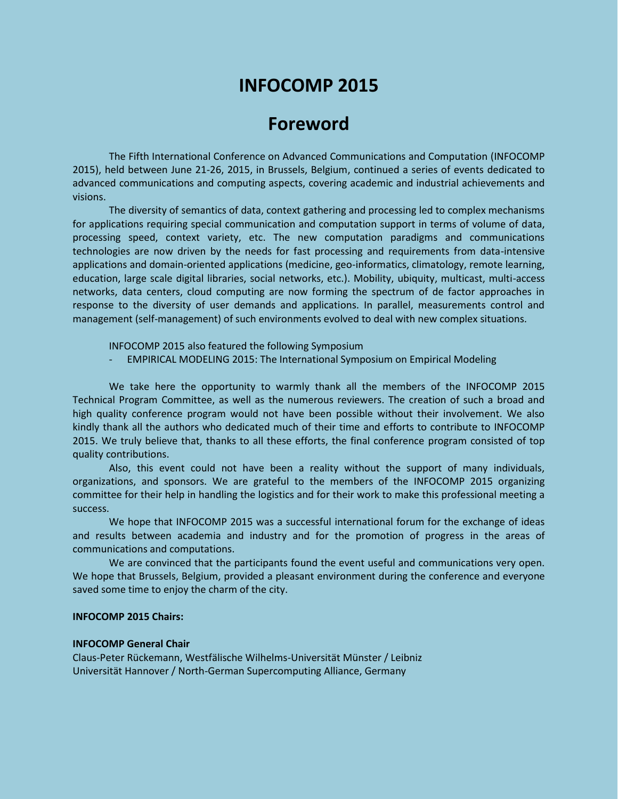# **INFOCOMP 2015**

# **Foreword**

The Fifth International Conference on Advanced Communications and Computation (INFOCOMP 2015), held between June 21-26, 2015, in Brussels, Belgium, continued a series of events dedicated to advanced communications and computing aspects, covering academic and industrial achievements and visions.

The diversity of semantics of data, context gathering and processing led to complex mechanisms for applications requiring special communication and computation support in terms of volume of data, processing speed, context variety, etc. The new computation paradigms and communications technologies are now driven by the needs for fast processing and requirements from data-intensive applications and domain-oriented applications (medicine, geo-informatics, climatology, remote learning, education, large scale digital libraries, social networks, etc.). Mobility, ubiquity, multicast, multi-access networks, data centers, cloud computing are now forming the spectrum of de factor approaches in response to the diversity of user demands and applications. In parallel, measurements control and management (self-management) of such environments evolved to deal with new complex situations.

INFOCOMP 2015 also featured the following Symposium

EMPIRICAL MODELING 2015: The International Symposium on Empirical Modeling

We take here the opportunity to warmly thank all the members of the INFOCOMP 2015 Technical Program Committee, as well as the numerous reviewers. The creation of such a broad and high quality conference program would not have been possible without their involvement. We also kindly thank all the authors who dedicated much of their time and efforts to contribute to INFOCOMP 2015. We truly believe that, thanks to all these efforts, the final conference program consisted of top quality contributions.

Also, this event could not have been a reality without the support of many individuals, organizations, and sponsors. We are grateful to the members of the INFOCOMP 2015 organizing committee for their help in handling the logistics and for their work to make this professional meeting a success.

We hope that INFOCOMP 2015 was a successful international forum for the exchange of ideas and results between academia and industry and for the promotion of progress in the areas of communications and computations.

We are convinced that the participants found the event useful and communications very open. We hope that Brussels, Belgium, provided a pleasant environment during the conference and everyone saved some time to enjoy the charm of the city.

# **INFOCOMP 2015 Chairs:**

#### **INFOCOMP General Chair**

Claus-Peter Rückemann, Westfälische Wilhelms-Universität Münster / Leibniz Universität Hannover / North-German Supercomputing Alliance, Germany